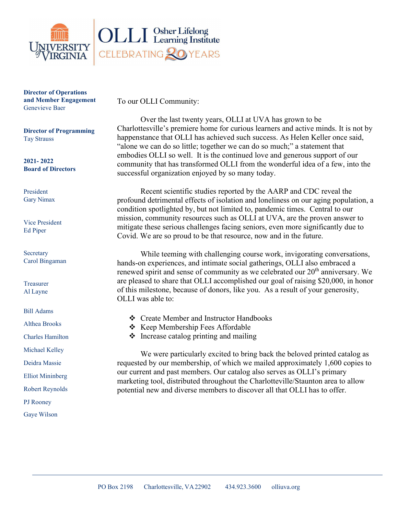

**Director of Operations and Member Engagement** Genevieve Baer

**Director of Programming** Tay Strauss

**2021- 2022 Board of Directors**

President Gary Nimax

Vice President Ed Piper

Secretary Carol Bingaman

Treasurer Al Layne

Bill Adams

Althea Brooks

Charles Hamilton

Michael Kelley

Deidra Massie

Elliot Mininberg

Robert Reynolds

PJ Rooney

Gaye Wilson

To our OLLI Community:

Over the last twenty years, OLLI at UVA has grown to be Charlottesville's premiere home for curious learners and active minds. It is not by happenstance that OLLI has achieved such success. As Helen Keller once said, "alone we can do so little; together we can do so much;" a statement that embodies OLLI so well. It is the continued love and generous support of our community that has transformed OLLI from the wonderful idea of a few, into the successful organization enjoyed by so many today.

Recent scientific studies reported by the AARP and CDC reveal the profound detrimental effects of isolation and loneliness on our aging population, a condition spotlighted by, but not limited to, pandemic times. Central to our mission, community resources such as OLLI at UVA, are the proven answer to mitigate these serious challenges facing seniors, even more significantly due to Covid. We are so proud to be that resource, now and in the future.

While teeming with challenging course work, invigorating conversations, hands-on experiences, and intimate social gatherings, OLLI also embraced a renewed spirit and sense of community as we celebrated our 20<sup>th</sup> anniversary. We are pleased to share that OLLI accomplished our goal of raising \$20,000, in honor of this milestone, because of donors, like you. As a result of your generosity, OLLI was able to:

- Create Member and Instructor Handbooks
- ❖ Keep Membership Fees Affordable
- $\triangleleft$  Increase catalog printing and mailing

We were particularly excited to bring back the beloved printed catalog as requested by our membership, of which we mailed approximately 1,600 copies to our current and past members. Our catalog also serves as OLLI's primary marketing tool, distributed throughout the Charlotteville/Staunton area to allow potential new and diverse members to discover all that OLLI has to offer.